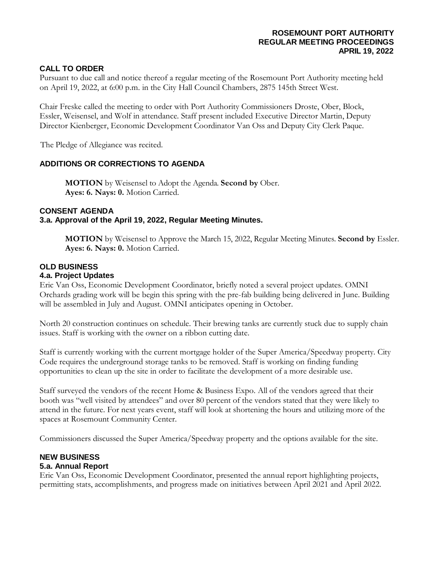# **CALL TO ORDER**

Pursuant to due call and notice thereof a regular meeting of the Rosemount Port Authority meeting held on April 19, 2022, at 6:00 p.m. in the City Hall Council Chambers, 2875 145th Street West.

Chair Freske called the meeting to order with Port Authority Commissioners Droste, Ober, Block, Essler, Weisensel, and Wolf in attendance. Staff present included Executive Director Martin, Deputy Director Kienberger, Economic Development Coordinator Van Oss and Deputy City Clerk Paque.

The Pledge of Allegiance was recited.

# **ADDITIONS OR CORRECTIONS TO AGENDA**

**MOTION** by Weisensel to Adopt the Agenda. **Second by** Ober. **Ayes: 6. Nays: 0.** Motion Carried.

### **CONSENT AGENDA**

#### **3.a. Approval of the April 19, 2022, Regular Meeting Minutes.**

**MOTION** by Weisensel to Approve the March 15, 2022, Regular Meeting Minutes. **Second by** Essler. **Ayes: 6. Nays: 0.** Motion Carried.

# **OLD BUSINESS**

#### **4.a. Project Updates**

Eric Van Oss, Economic Development Coordinator, briefly noted a several project updates. OMNI Orchards grading work will be begin this spring with the pre-fab building being delivered in June. Building will be assembled in July and August. OMNI anticipates opening in October.

North 20 construction continues on schedule. Their brewing tanks are currently stuck due to supply chain issues. Staff is working with the owner on a ribbon cutting date.

Staff is currently working with the current mortgage holder of the Super America/Speedway property. City Code requires the underground storage tanks to be removed. Staff is working on finding funding opportunities to clean up the site in order to facilitate the development of a more desirable use.

Staff surveyed the vendors of the recent Home & Business Expo. All of the vendors agreed that their booth was "well visited by attendees" and over 80 percent of the vendors stated that they were likely to attend in the future. For next years event, staff will look at shortening the hours and utilizing more of the spaces at Rosemount Community Center.

Commissioners discussed the Super America/Speedway property and the options available for the site.

# **NEW BUSINESS**

## **5.a. Annual Report**

Eric Van Oss, Economic Development Coordinator, presented the annual report highlighting projects, permitting stats, accomplishments, and progress made on initiatives between April 2021 and April 2022.